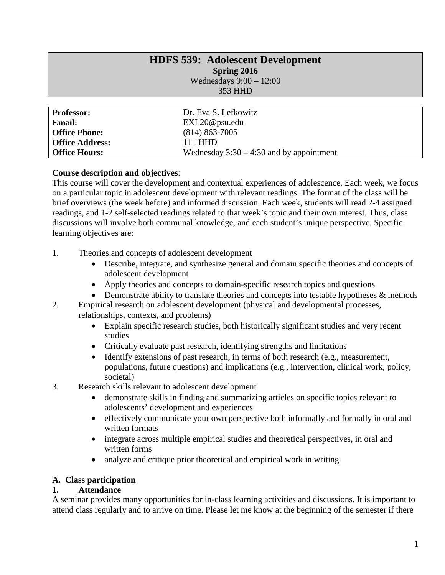# **HDFS 539: Adolescent Development Spring 2016** Wednesdays 9:00 – 12:00

353 HHD

| <b>Professor:</b>      | Dr. Eva S. Lefkowitz                       |
|------------------------|--------------------------------------------|
| <b>Email:</b>          | EXL20@psu.edu                              |
| <b>Office Phone:</b>   | $(814)$ 863-7005                           |
| <b>Office Address:</b> | 111 HHD                                    |
| <b>Office Hours:</b>   | Wednesday $3:30 - 4:30$ and by appointment |

## **Course description and objectives**:

This course will cover the development and contextual experiences of adolescence. Each week, we focus on a particular topic in adolescent development with relevant readings. The format of the class will be brief overviews (the week before) and informed discussion. Each week, students will read 2-4 assigned readings, and 1-2 self-selected readings related to that week's topic and their own interest. Thus, class discussions will involve both communal knowledge, and each student's unique perspective. Specific learning objectives are:

- 1. Theories and concepts of adolescent development
	- Describe, integrate, and synthesize general and domain specific theories and concepts of adolescent development
	- Apply theories and concepts to domain-specific research topics and questions
	- Demonstrate ability to translate theories and concepts into testable hypotheses & methods
- 2. Empirical research on adolescent development (physical and developmental processes, relationships, contexts, and problems)
	- Explain specific research studies, both historically significant studies and very recent studies
	- Critically evaluate past research, identifying strengths and limitations
	- Identify extensions of past research, in terms of both research (e.g., measurement, populations, future questions) and implications (e.g., intervention, clinical work, policy, societal)
- 3. Research skills relevant to adolescent development
	- demonstrate skills in finding and summarizing articles on specific topics relevant to adolescents' development and experiences
	- effectively communicate your own perspective both informally and formally in oral and written formats
	- integrate across multiple empirical studies and theoretical perspectives, in oral and written forms
	- analyze and critique prior theoretical and empirical work in writing

## **A. Class participation**

## **1. Attendance**

A seminar provides many opportunities for in-class learning activities and discussions. It is important to attend class regularly and to arrive on time. Please let me know at the beginning of the semester if there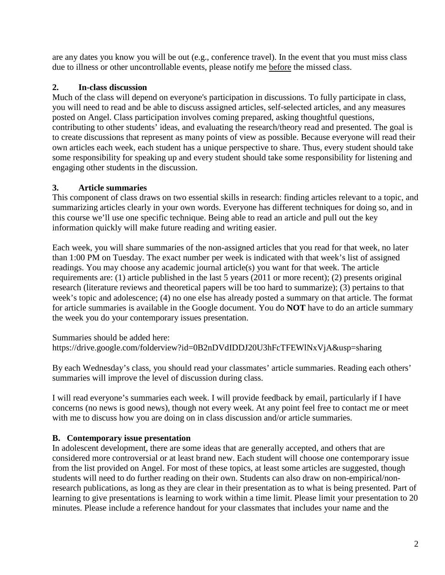are any dates you know you will be out (e.g., conference travel). In the event that you must miss class due to illness or other uncontrollable events, please notify me before the missed class.

# **2. In-class discussion**

Much of the class will depend on everyone's participation in discussions. To fully participate in class, you will need to read and be able to discuss assigned articles, self-selected articles, and any measures posted on Angel. Class participation involves coming prepared, asking thoughtful questions, contributing to other students' ideas, and evaluating the research/theory read and presented. The goal is to create discussions that represent as many points of view as possible. Because everyone will read their own articles each week, each student has a unique perspective to share. Thus, every student should take some responsibility for speaking up and every student should take some responsibility for listening and engaging other students in the discussion.

# **3. Article summaries**

This component of class draws on two essential skills in research: finding articles relevant to a topic, and summarizing articles clearly in your own words. Everyone has different techniques for doing so, and in this course we'll use one specific technique. Being able to read an article and pull out the key information quickly will make future reading and writing easier.

Each week, you will share summaries of the non-assigned articles that you read for that week, no later than 1:00 PM on Tuesday. The exact number per week is indicated with that week's list of assigned readings. You may choose any academic journal article(s) you want for that week. The article requirements are: (1) article published in the last 5 years (2011 or more recent); (2) presents original research (literature reviews and theoretical papers will be too hard to summarize); (3) pertains to that week's topic and adolescence; (4) no one else has already posted a summary on that article. The format for article summaries is available in the Google document. You do **NOT** have to do an article summary the week you do your contemporary issues presentation.

Summaries should be added here: https://drive.google.com/folderview?id=0B2nDVdIDDJ20U3hFcTFEWlNxVjA&usp=sharing

By each Wednesday's class, you should read your classmates' article summaries. Reading each others' summaries will improve the level of discussion during class.

I will read everyone's summaries each week. I will provide feedback by email, particularly if I have concerns (no news is good news), though not every week. At any point feel free to contact me or meet with me to discuss how you are doing on in class discussion and/or article summaries.

## **B. Contemporary issue presentation**

In adolescent development, there are some ideas that are generally accepted, and others that are considered more controversial or at least brand new. Each student will choose one contemporary issue from the list provided on Angel. For most of these topics, at least some articles are suggested, though students will need to do further reading on their own. Students can also draw on non-empirical/nonresearch publications, as long as they are clear in their presentation as to what is being presented. Part of learning to give presentations is learning to work within a time limit. Please limit your presentation to 20 minutes. Please include a reference handout for your classmates that includes your name and the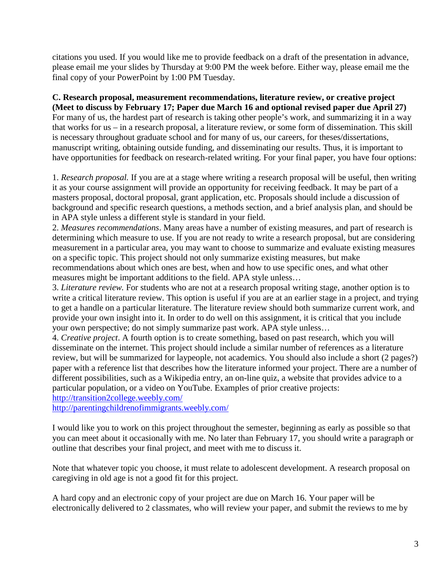citations you used. If you would like me to provide feedback on a draft of the presentation in advance, please email me your slides by Thursday at 9:00 PM the week before. Either way, please email me the final copy of your PowerPoint by 1:00 PM Tuesday.

**C. Research proposal, measurement recommendations, literature review, or creative project (Meet to discuss by February 17; Paper due March 16 and optional revised paper due April 27)** For many of us, the hardest part of research is taking other people's work, and summarizing it in a way that works for us – in a research proposal, a literature review, or some form of dissemination. This skill is necessary throughout graduate school and for many of us, our careers, for theses/dissertations, manuscript writing, obtaining outside funding, and disseminating our results. Thus, it is important to have opportunities for feedback on research-related writing. For your final paper, you have four options:

1. *Research proposal.* If you are at a stage where writing a research proposal will be useful, then writing it as your course assignment will provide an opportunity for receiving feedback. It may be part of a masters proposal, doctoral proposal, grant application, etc. Proposals should include a discussion of background and specific research questions, a methods section, and a brief analysis plan, and should be in APA style unless a different style is standard in your field.

2. *Measures recommendations*. Many areas have a number of existing measures, and part of research is determining which measure to use. If you are not ready to write a research proposal, but are considering measurement in a particular area, you may want to choose to summarize and evaluate existing measures on a specific topic. This project should not only summarize existing measures, but make recommendations about which ones are best, when and how to use specific ones, and what other measures might be important additions to the field. APA style unless…

3. *Literature review.* For students who are not at a research proposal writing stage, another option is to write a critical literature review. This option is useful if you are at an earlier stage in a project, and trying to get a handle on a particular literature. The literature review should both summarize current work, and provide your own insight into it. In order to do well on this assignment, it is critical that you include your own perspective; do not simply summarize past work. APA style unless…

4. *Creative project*. A fourth option is to create something, based on past research, which you will disseminate on the internet. This project should include a similar number of references as a literature review, but will be summarized for laypeople, not academics. You should also include a short (2 pages?) paper with a reference list that describes how the literature informed your project. There are a number of different possibilities, such as a Wikipedia entry, an on-line quiz, a website that provides advice to a particular population, or a video on YouTube. Examples of prior creative projects:

<http://transition2college.weebly.com/>

<http://parentingchildrenofimmigrants.weebly.com/>

I would like you to work on this project throughout the semester, beginning as early as possible so that you can meet about it occasionally with me. No later than February 17, you should write a paragraph or outline that describes your final project, and meet with me to discuss it.

Note that whatever topic you choose, it must relate to adolescent development. A research proposal on caregiving in old age is not a good fit for this project.

A hard copy and an electronic copy of your project are due on March 16. Your paper will be electronically delivered to 2 classmates, who will review your paper, and submit the reviews to me by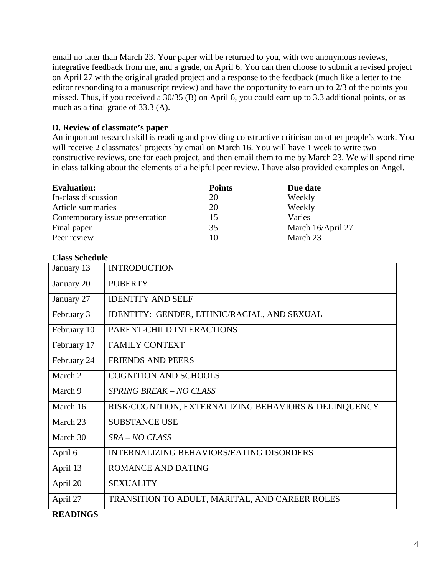email no later than March 23. Your paper will be returned to you, with two anonymous reviews, integrative feedback from me, and a grade, on April 6. You can then choose to submit a revised project on April 27 with the original graded project and a response to the feedback (much like a letter to the editor responding to a manuscript review) and have the opportunity to earn up to 2/3 of the points you missed. Thus, if you received a 30/35 (B) on April 6, you could earn up to 3.3 additional points, or as much as a final grade of 33.3 (A).

## **D. Review of classmate's paper**

An important research skill is reading and providing constructive criticism on other people's work. You will receive 2 classmates' projects by email on March 16. You will have 1 week to write two constructive reviews, one for each project, and then email them to me by March 23. We will spend time in class talking about the elements of a helpful peer review. I have also provided examples on Angel.

| <b>Evaluation:</b>              | <b>Points</b> | Due date          |
|---------------------------------|---------------|-------------------|
| In-class discussion             | 20            | Weekly            |
| Article summaries               | 20            | Weekly            |
| Contemporary issue presentation | 15            | Varies            |
| Final paper                     | 35            | March 16/April 27 |
| Peer review                     | 10            | March 23          |

### **Class Schedule**

| January 13  | <b>INTRODUCTION</b>                                   |
|-------------|-------------------------------------------------------|
| January 20  | <b>PUBERTY</b>                                        |
| January 27  | <b>IDENTITY AND SELF</b>                              |
| February 3  | IDENTITY: GENDER, ETHNIC/RACIAL, AND SEXUAL           |
| February 10 | PARENT-CHILD INTERACTIONS                             |
| February 17 | <b>FAMILY CONTEXT</b>                                 |
| February 24 | <b>FRIENDS AND PEERS</b>                              |
| March 2     | <b>COGNITION AND SCHOOLS</b>                          |
| March 9     | SPRING BREAK - NO CLASS                               |
| March 16    | RISK/COGNITION, EXTERNALIZING BEHAVIORS & DELINQUENCY |
| March 23    | <b>SUBSTANCE USE</b>                                  |
| March 30    | $SRA - NO CLASS$                                      |
| April 6     | <b>INTERNALIZING BEHAVIORS/EATING DISORDERS</b>       |
| April 13    | ROMANCE AND DATING                                    |
| April 20    | <b>SEXUALITY</b>                                      |
| April 27    | TRANSITION TO ADULT, MARITAL, AND CAREER ROLES        |

## **READINGS**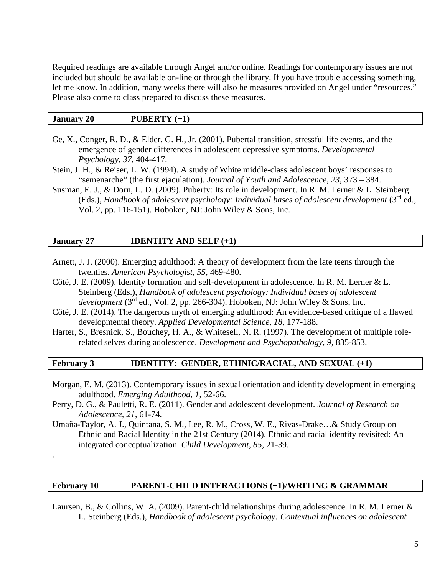Required readings are available through Angel and/or online. Readings for contemporary issues are not included but should be available on-line or through the library. If you have trouble accessing something, let me know. In addition, many weeks there will also be measures provided on Angel under "resources." Please also come to class prepared to discuss these measures.

### **January 20 PUBERTY (+1)**

- Ge, X., Conger, R. D., & Elder, G. H., Jr. (2001). Pubertal transition, stressful life events, and the emergence of gender differences in adolescent depressive symptoms. *Developmental Psychology, 37*, 404-417.
- Stein, J. H., & Reiser, L. W. (1994). A study of White middle-class adolescent boys' responses to "semenarche" (the first ejaculation). *Journal of Youth and Adolescence, 23*, 373 – 384.
- Susman, E. J., & Dorn, L. D. (2009). Puberty: Its role in development. In R. M. Lerner & L. Steinberg (Eds.), *Handbook of adolescent psychology: Individual bases of adolescent development* (3rd ed., Vol. 2, pp. 116-151). Hoboken, NJ: John Wiley & Sons, Inc.

### **January 27 IDENTITY AND SELF (+1)**

.

- Arnett, J. J. (2000). Emerging adulthood: A theory of development from the late teens through the twenties. *American Psychologist, 55*, 469-480.
- Côté, J. E. (2009). Identity formation and self-development in adolescence. In R. M. Lerner & L. Steinberg (Eds.), *Handbook of adolescent psychology: Individual bases of adolescent development* (3rd ed., Vol. 2, pp. 266-304). Hoboken, NJ: John Wiley & Sons, Inc.
- Côté, J. E. (2014). The dangerous myth of emerging adulthood: An evidence-based critique of a flawed developmental theory. *Applied Developmental Science, 18*, 177-188.
- Harter, S., Bresnick, S., Bouchey, H. A., & Whitesell, N. R. (1997). The development of multiple rolerelated selves during adolescence. *Development and Psychopathology, 9,* 835-853.

## **February 3 IDENTITY: GENDER, ETHNIC/RACIAL, AND SEXUAL (+1)**

- Morgan, E. M. (2013). Contemporary issues in sexual orientation and identity development in emerging adulthood. *Emerging Adulthood, 1*, 52-66.
- Perry, D. G., & Pauletti, R. E. (2011). Gender and adolescent development. *Journal of Research on Adolescence, 21*, 61-74.
- Umaña-Taylor, A. J., Quintana, S. M., Lee, R. M., Cross, W. E., Rivas-Drake…& Study Group on Ethnic and Racial Identity in the 21st Century (2014). Ethnic and racial identity revisited: An integrated conceptualization. *Child Development, 85,* 21-39.

### **February 10 PARENT-CHILD INTERACTIONS (+1)**/**WRITING & GRAMMAR**

Laursen, B., & Collins, W. A. (2009). Parent-child relationships during adolescence. In R. M. Lerner & L. Steinberg (Eds.), *Handbook of adolescent psychology: Contextual influences on adolescent*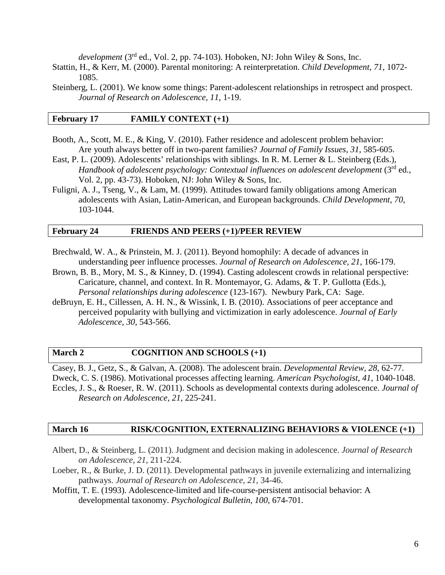*development* (3rd ed., Vol. 2, pp. 74-103). Hoboken, NJ: John Wiley & Sons, Inc.

- Stattin, H., & Kerr, M. (2000). Parental monitoring: A reinterpretation. *Child Development, 71*, 1072- 1085.
- Steinberg, L. (2001). We know some things: Parent-adolescent relationships in retrospect and prospect. *Journal of Research on Adolescence, 11*, 1-19.

### **February 17 FAMILY CONTEXT (+1)**

- Booth, A., Scott, M. E., & King, V. (2010). Father residence and adolescent problem behavior: Are youth always better off in two-parent families? *Journal of Family Issues, 31*, 585-605.
- East, P. L. (2009). Adolescents' relationships with siblings. In R. M. Lerner & L. Steinberg (Eds.), *Handbook of adolescent psychology: Contextual influences on adolescent development* (3<sup>rd</sup> ed., Vol. 2, pp. 43-73). Hoboken, NJ: John Wiley & Sons, Inc.
- Fuligni, A. J., Tseng, V., & Lam, M. (1999). Attitudes toward family obligations among American adolescents with Asian, Latin-American, and European backgrounds. *Child Development, 70*, 103-1044.

#### **February 24 FRIENDS AND PEERS (+1)/PEER REVIEW**

- Brechwald, W. A., & Prinstein, M. J. (2011). Beyond homophily: A decade of advances in understanding peer influence processes. *Journal of Research on Adolescence, 21*, 166-179.
- Brown, B. B., Mory, M. S., & Kinney, D. (1994). Casting adolescent crowds in relational perspective: Caricature, channel, and context. In R. Montemayor, G. Adams, & T. P. Gullotta (Eds.), *Personal relationships during adolescence* (123-167). Newbury Park, CA: Sage.
- deBruyn, E. H., Cillessen, A. H. N., & Wissink, I. B. (2010). Associations of peer acceptance and perceived popularity with bullying and victimization in early adolescence. *Journal of Early Adolescence, 30*, 543-566.

### **March 2 COGNITION AND SCHOOLS (+1)**

Casey, B. J., Getz, S., & Galvan, A. (2008). The adolescent brain. *Developmental Review, 28*, 62-77. Dweck, C. S. (1986). Motivational processes affecting learning. *American Psychologist*, *41*, 1040-1048. Eccles, J. S., & Roeser, R. W. (2011). Schools as developmental contexts during adolescence. *Journal of Research on Adolescence, 21*, 225-241.

#### **March 16 RISK/COGNITION, EXTERNALIZING BEHAVIORS & VIOLENCE (+1)**

- Albert, D., & Steinberg, L. (2011). Judgment and decision making in adolescence. *Journal of Research on Adolescence, 21*, 211-224.
- Loeber, R., & Burke, J. D. (2011). Developmental pathways in juvenile externalizing and internalizing pathways. *Journal of Research on Adolescence, 21*, 34-46.
- Moffitt, T. E. (1993). Adolescence-limited and life-course-persistent antisocial behavior: A developmental taxonomy. *Psychological Bulletin, 100*, 674-701.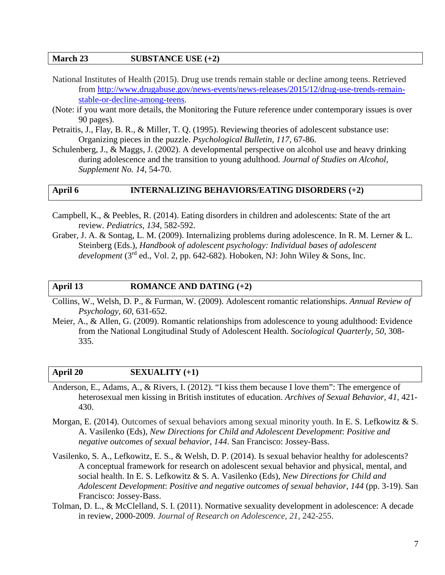## **March 23 SUBSTANCE USE (+2)**

- National Institutes of Health (2015). Drug use trends remain stable or decline among teens. Retrieved from [http://www.drugabuse.gov/news-events/news-releases/2015/12/drug-use-trends-remain](http://www.drugabuse.gov/news-events/news-releases/2015/12/drug-use-trends-remain-stable-or-decline-among-teens)[stable-or-decline-among-teens.](http://www.drugabuse.gov/news-events/news-releases/2015/12/drug-use-trends-remain-stable-or-decline-among-teens)
- (Note: if you want more details, the Monitoring the Future reference under contemporary issues is over 90 pages).
- Petraitis, J., Flay, B. R., & Miller, T. Q. (1995). Reviewing theories of adolescent substance use: Organizing pieces in the puzzle. *Psychological Bulletin, 117*, 67-86.
- Schulenberg, J., & Maggs, J. (2002). A developmental perspective on alcohol use and heavy drinking during adolescence and the transition to young adulthood. *Journal of Studies on Alcohol, Supplement No. 14*, 54-70.

### **April 6 INTERNALIZING BEHAVIORS/EATING DISORDERS (+2)**

- Campbell, K., & Peebles, R. (2014). Eating disorders in children and adolescents: State of the art review. *Pediatrics, 134*, 582-592.
- Graber, J. A. & Sontag, L. M. (2009). Internalizing problems during adolescence. In R. M. Lerner & L. Steinberg (Eds.), *Handbook of adolescent psychology: Individual bases of adolescent development* (3rd ed., Vol. 2, pp. 642-682). Hoboken, NJ: John Wiley & Sons, Inc.

### **April 13 ROMANCE AND DATING (+2)**

- Collins, W., Welsh, D. P., & Furman, W. (2009). Adolescent romantic relationships. *Annual Review of Psychology, 60*, 631-652.
- Meier, A., & Allen, G. (2009). Romantic relationships from adolescence to young adulthood: Evidence from the National Longitudinal Study of Adolescent Health. *Sociological Quarterly, 50*, 308- 335.

### **April 20 SEXUALITY (+1)**

- Anderson, E., Adams, A., & Rivers, I. (2012). "I kiss them because I love them": The emergence of heterosexual men kissing in British institutes of education. *Archives of Sexual Behavior, 41*, 421- 430.
- Morgan, E. (2014). Outcomes of sexual behaviors among sexual minority youth. In E. S. Lefkowitz & S. A. Vasilenko (Eds), *New Directions for Child and Adolescent Development*: *Positive and negative outcomes of sexual behavior, 144*. San Francisco: Jossey-Bass.
- Vasilenko, S. A., Lefkowitz, E. S., & Welsh, D. P. (2014). Is sexual behavior healthy for adolescents? A conceptual framework for research on adolescent sexual behavior and physical, mental, and social health. In E. S. Lefkowitz & S. A. Vasilenko (Eds), *New Directions for Child and Adolescent Development*: *Positive and negative outcomes of sexual behavior, 144* (pp. 3-19). San Francisco: Jossey-Bass.
- Tolman, D. L., & McClelland, S. I. (2011). Normative sexuality development in adolescence: A decade in review, 2000-2009. *Journal of Research on Adolescence, 21*, 242-255.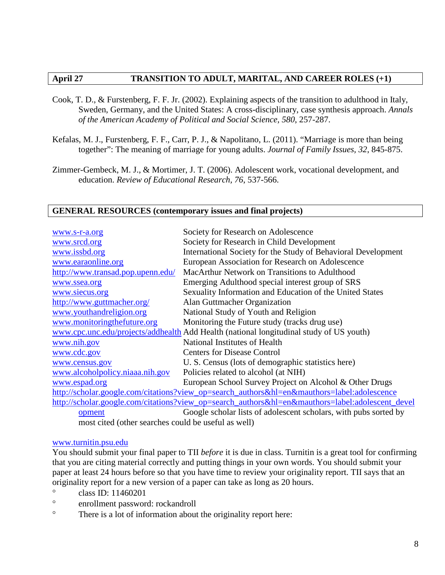## **April 27 TRANSITION TO ADULT, MARITAL, AND CAREER ROLES (+1)**

- Cook, T. D., & Furstenberg, F. F. Jr. (2002). Explaining aspects of the transition to adulthood in Italy, Sweden, Germany, and the United States: A cross-disciplinary, case synthesis approach. *Annals of the American Academy of Political and Social Science, 580*, 257-287.
- Kefalas, M. J., Furstenberg, F. F., Carr, P. J., & Napolitano, L. (2011). "Marriage is more than being together": The meaning of marriage for young adults. *Journal of Family Issues, 32*, 845-875.
- Zimmer-Gembeck, M. J., & Mortimer, J. T. (2006). Adolescent work, vocational development, and education. *Review of Educational Research, 76*, 537-566.

### **GENERAL RESOURCES (contemporary issues and final projects)**

| www.s-r-a.org                                                                                    | Society for Research on Adolescence                                                         |  |
|--------------------------------------------------------------------------------------------------|---------------------------------------------------------------------------------------------|--|
| www.srcd.org                                                                                     | Society for Research in Child Development                                                   |  |
| www.issbd.org                                                                                    | International Society for the Study of Behavioral Development                               |  |
| www.earaonline.org                                                                               | European Association for Research on Adolescence                                            |  |
| http://www.transad.pop.upenn.edu/                                                                | MacArthur Network on Transitions to Adulthood                                               |  |
| www.ssea.org                                                                                     | Emerging Adulthood special interest group of SRS                                            |  |
| www.siecus.org                                                                                   | Sexuality Information and Education of the United States                                    |  |
| http://www.guttmacher.org/                                                                       | Alan Guttmacher Organization                                                                |  |
| www.youthandreligion.org                                                                         | National Study of Youth and Religion                                                        |  |
| www.monitoringthefuture.org                                                                      | Monitoring the Future study (tracks drug use)                                               |  |
|                                                                                                  | www.cpc.unc.edu/projects/addhealth Add Health (national longitudinal study of US youth)     |  |
| www.nih.gov                                                                                      | National Institutes of Health                                                               |  |
| www.cdc.gov                                                                                      | <b>Centers for Disease Control</b>                                                          |  |
| www.census.gov                                                                                   | U. S. Census (lots of demographic statistics here)                                          |  |
| www.alcoholpolicy.niaaa.nih.gov                                                                  | Policies related to alcohol (at NIH)                                                        |  |
| www.espad.org                                                                                    | European School Survey Project on Alcohol & Other Drugs                                     |  |
|                                                                                                  | http://scholar.google.com/citations?view_op=search_authors&hl=en&mauthors=label:adolescence |  |
| http://scholar.google.com/citations?view_op=search_authors&hl=en&mauthors=label:adolescent_devel |                                                                                             |  |
| opment                                                                                           | Google scholar lists of adolescent scholars, with pubs sorted by                            |  |
| most cited (other searches could be useful as well)                                              |                                                                                             |  |

### [www.turnitin.psu.edu](http://www.turnitin.psu.edu/)

You should submit your final paper to TII *before* it is due in class. Turnitin is a great tool for confirming that you are citing material correctly and putting things in your own words. You should submit your paper at least 24 hours before so that you have time to review your originality report. TII says that an originality report for a new version of a paper can take as long as 20 hours.

- ° class ID: 11460201
- ° enrollment password: rockandroll
- ° There is a lot of information about the originality report here: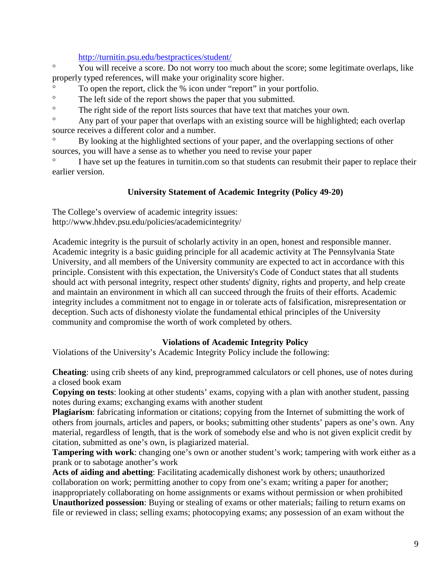## <http://turnitin.psu.edu/bestpractices/student/>

° You will receive a score. Do not worry too much about the score; some legitimate overlaps, like properly typed references, will make your originality score higher.

- ° To open the report, click the % icon under "report" in your portfolio.
- ° The left side of the report shows the paper that you submitted.
- ° The right side of the report lists sources that have text that matches your own.

<sup>o</sup> Any part of your paper that overlaps with an existing source will be highlighted; each overlap source receives a different color and a number.

° By looking at the highlighted sections of your paper, and the overlapping sections of other sources, you will have a sense as to whether you need to revise your paper

I have set up the features in turnitin.com so that students can resubmit their paper to replace their earlier version.

# **University Statement of Academic Integrity (Policy 49-20)**

The College's overview of academic integrity issues: http://www.hhdev.psu.edu/policies/academicintegrity/

Academic integrity is the pursuit of scholarly activity in an open, honest and responsible manner. Academic integrity is a basic guiding principle for all academic activity at The Pennsylvania State University, and all members of the University community are expected to act in accordance with this principle. Consistent with this expectation, the University's Code of Conduct states that all students should act with personal integrity, respect other students' dignity, rights and property, and help create and maintain an environment in which all can succeed through the fruits of their efforts. Academic integrity includes a commitment not to engage in or tolerate acts of falsification, misrepresentation or deception. Such acts of dishonesty violate the fundamental ethical principles of the University community and compromise the worth of work completed by others.

# **Violations of Academic Integrity Policy**

Violations of the University's Academic Integrity Policy include the following:

**Cheating**: using crib sheets of any kind, preprogrammed calculators or cell phones, use of notes during a closed book exam

**Copying on tests**: looking at other students' exams, copying with a plan with another student, passing notes during exams; exchanging exams with another student

**Plagiarism**: fabricating information or citations; copying from the Internet of submitting the work of others from journals, articles and papers, or books; submitting other students' papers as one's own. Any material, regardless of length, that is the work of somebody else and who is not given explicit credit by citation, submitted as one's own, is plagiarized material.

**Tampering with work**: changing one's own or another student's work; tampering with work either as a prank or to sabotage another's work

**Acts of aiding and abetting**: Facilitating academically dishonest work by others; unauthorized collaboration on work; permitting another to copy from one's exam; writing a paper for another; inappropriately collaborating on home assignments or exams without permission or when prohibited **Unauthorized possession**: Buying or stealing of exams or other materials; failing to return exams on file or reviewed in class; selling exams; photocopying exams; any possession of an exam without the